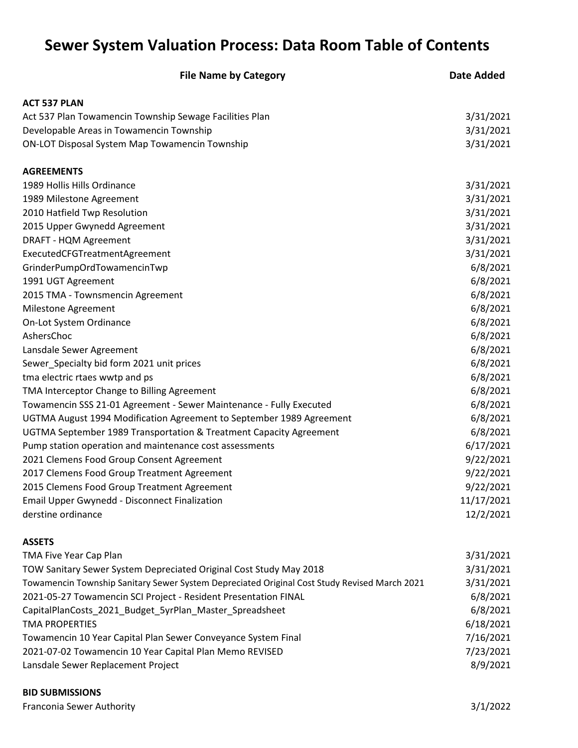## **Sewer System Valuation Process: Data Room Table of Contents**

| <b>File Name by Category</b>                                                                 | <b>Date Added</b> |
|----------------------------------------------------------------------------------------------|-------------------|
| <b>ACT 537 PLAN</b>                                                                          |                   |
| Act 537 Plan Towamencin Township Sewage Facilities Plan                                      | 3/31/2021         |
| Developable Areas in Towamencin Township                                                     | 3/31/2021         |
| <b>ON-LOT Disposal System Map Towamencin Township</b>                                        | 3/31/2021         |
| <b>AGREEMENTS</b>                                                                            |                   |
| 1989 Hollis Hills Ordinance                                                                  | 3/31/2021         |
| 1989 Milestone Agreement                                                                     | 3/31/2021         |
| 2010 Hatfield Twp Resolution                                                                 | 3/31/2021         |
| 2015 Upper Gwynedd Agreement                                                                 | 3/31/2021         |
| DRAFT - HQM Agreement                                                                        | 3/31/2021         |
| ExecutedCFGTreatmentAgreement                                                                | 3/31/2021         |
| GrinderPumpOrdTowamencinTwp                                                                  | 6/8/2021          |
| 1991 UGT Agreement                                                                           | 6/8/2021          |
| 2015 TMA - Townsmencin Agreement                                                             | 6/8/2021          |
| Milestone Agreement                                                                          | 6/8/2021          |
| On-Lot System Ordinance                                                                      | 6/8/2021          |
| AshersChoc                                                                                   | 6/8/2021          |
| Lansdale Sewer Agreement                                                                     | 6/8/2021          |
| Sewer_Specialty bid form 2021 unit prices                                                    | 6/8/2021          |
| tma electric rtaes wwtp and ps                                                               | 6/8/2021          |
| TMA Interceptor Change to Billing Agreement                                                  | 6/8/2021          |
| Towamencin SSS 21-01 Agreement - Sewer Maintenance - Fully Executed                          | 6/8/2021          |
| UGTMA August 1994 Modification Agreement to September 1989 Agreement                         | 6/8/2021          |
| UGTMA September 1989 Transportation & Treatment Capacity Agreement                           | 6/8/2021          |
| Pump station operation and maintenance cost assessments                                      | 6/17/2021         |
| 2021 Clemens Food Group Consent Agreement                                                    | 9/22/2021         |
| 2017 Clemens Food Group Treatment Agreement                                                  | 9/22/2021         |
| 2015 Clemens Food Group Treatment Agreement                                                  | 9/22/2021         |
| <b>Email Upper Gwynedd - Disconnect Finalization</b>                                         | 11/17/2021        |
| derstine ordinance                                                                           | 12/2/2021         |
| <b>ASSETS</b>                                                                                |                   |
| TMA Five Year Cap Plan                                                                       | 3/31/2021         |
| TOW Sanitary Sewer System Depreciated Original Cost Study May 2018                           | 3/31/2021         |
| Towamencin Township Sanitary Sewer System Depreciated Original Cost Study Revised March 2021 | 3/31/2021         |
| 2021-05-27 Towamencin SCI Project - Resident Presentation FINAL                              | 6/8/2021          |
| CapitalPlanCosts_2021_Budget_5yrPlan_Master_Spreadsheet                                      | 6/8/2021          |
| <b>TMA PROPERTIES</b>                                                                        | 6/18/2021         |
| Towamencin 10 Year Capital Plan Sewer Conveyance System Final                                | 7/16/2021         |
| 2021-07-02 Towamencin 10 Year Capital Plan Memo REVISED                                      | 7/23/2021         |
| Lansdale Sewer Replacement Project                                                           | 8/9/2021          |

## **BID SUBMISSIONS**

Franconia Sewer Authority 3/1/2022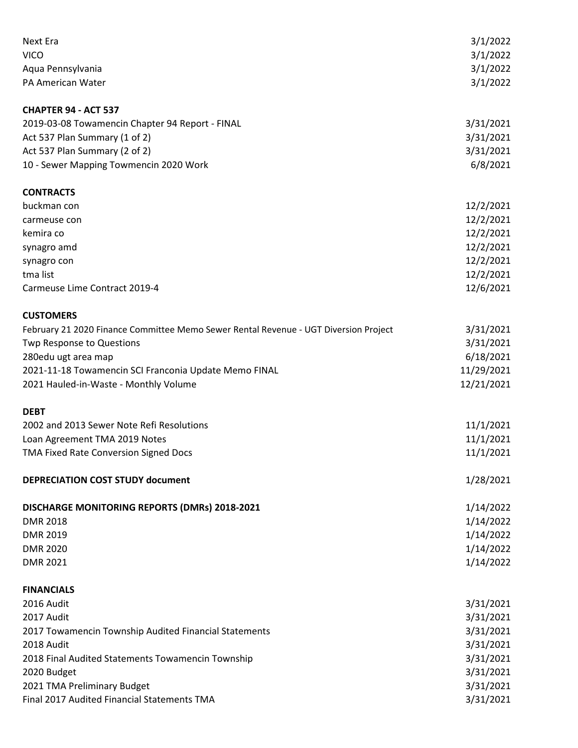| Next Era                                                                             | 3/1/2022   |
|--------------------------------------------------------------------------------------|------------|
| <b>VICO</b>                                                                          | 3/1/2022   |
| Aqua Pennsylvania                                                                    | 3/1/2022   |
| PA American Water                                                                    | 3/1/2022   |
|                                                                                      |            |
| <b>CHAPTER 94 - ACT 537</b>                                                          |            |
| 2019-03-08 Towamencin Chapter 94 Report - FINAL                                      | 3/31/2021  |
| Act 537 Plan Summary (1 of 2)                                                        | 3/31/2021  |
| Act 537 Plan Summary (2 of 2)                                                        | 3/31/2021  |
| 10 - Sewer Mapping Towmencin 2020 Work                                               | 6/8/2021   |
| <b>CONTRACTS</b>                                                                     |            |
| buckman con                                                                          | 12/2/2021  |
| carmeuse con                                                                         | 12/2/2021  |
| kemira co                                                                            | 12/2/2021  |
| synagro amd                                                                          | 12/2/2021  |
|                                                                                      | 12/2/2021  |
| synagro con<br>tma list                                                              | 12/2/2021  |
| Carmeuse Lime Contract 2019-4                                                        |            |
|                                                                                      | 12/6/2021  |
| <b>CUSTOMERS</b>                                                                     |            |
| February 21 2020 Finance Committee Memo Sewer Rental Revenue - UGT Diversion Project | 3/31/2021  |
| Twp Response to Questions                                                            | 3/31/2021  |
| 280edu ugt area map                                                                  | 6/18/2021  |
| 2021-11-18 Towamencin SCI Franconia Update Memo FINAL                                | 11/29/2021 |
| 2021 Hauled-in-Waste - Monthly Volume                                                | 12/21/2021 |
| <b>DEBT</b>                                                                          |            |
| 2002 and 2013 Sewer Note Refi Resolutions                                            | 11/1/2021  |
| Loan Agreement TMA 2019 Notes                                                        | 11/1/2021  |
| TMA Fixed Rate Conversion Signed Docs                                                | 11/1/2021  |
|                                                                                      |            |
| <b>DEPRECIATION COST STUDY document</b>                                              | 1/28/2021  |
| DISCHARGE MONITORING REPORTS (DMRs) 2018-2021                                        | 1/14/2022  |
| <b>DMR 2018</b>                                                                      | 1/14/2022  |
| <b>DMR 2019</b>                                                                      | 1/14/2022  |
| <b>DMR 2020</b>                                                                      | 1/14/2022  |
| <b>DMR 2021</b>                                                                      | 1/14/2022  |
|                                                                                      |            |
| <b>FINANCIALS</b>                                                                    |            |
| 2016 Audit                                                                           | 3/31/2021  |
| 2017 Audit                                                                           | 3/31/2021  |
| 2017 Towamencin Township Audited Financial Statements                                | 3/31/2021  |
| 2018 Audit                                                                           | 3/31/2021  |
| 2018 Final Audited Statements Towamencin Township                                    | 3/31/2021  |
| 2020 Budget                                                                          | 3/31/2021  |
| 2021 TMA Preliminary Budget                                                          | 3/31/2021  |
| Final 2017 Audited Financial Statements TMA                                          | 3/31/2021  |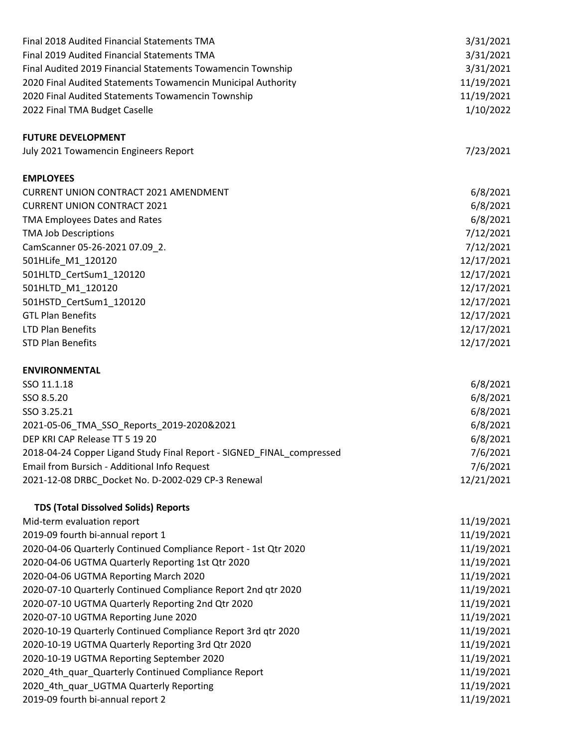| Final 2018 Audited Financial Statements TMA                           | 3/31/2021  |
|-----------------------------------------------------------------------|------------|
| Final 2019 Audited Financial Statements TMA                           | 3/31/2021  |
| Final Audited 2019 Financial Statements Towamencin Township           | 3/31/2021  |
| 2020 Final Audited Statements Towamencin Municipal Authority          | 11/19/2021 |
| 2020 Final Audited Statements Towamencin Township                     | 11/19/2021 |
| 2022 Final TMA Budget Caselle                                         | 1/10/2022  |
|                                                                       |            |
| <b>FUTURE DEVELOPMENT</b>                                             |            |
| July 2021 Towamencin Engineers Report                                 | 7/23/2021  |
| <b>EMPLOYEES</b>                                                      |            |
| <b>CURRENT UNION CONTRACT 2021 AMENDMENT</b>                          | 6/8/2021   |
| <b>CURRENT UNION CONTRACT 2021</b>                                    | 6/8/2021   |
| TMA Employees Dates and Rates                                         | 6/8/2021   |
| <b>TMA Job Descriptions</b>                                           | 7/12/2021  |
| CamScanner 05-26-2021 07.09_2.                                        | 7/12/2021  |
| 501HLife_M1_120120                                                    | 12/17/2021 |
| 501HLTD_CertSum1_120120                                               | 12/17/2021 |
| 501HLTD_M1_120120                                                     | 12/17/2021 |
| 501HSTD_CertSum1_120120                                               | 12/17/2021 |
| <b>GTL Plan Benefits</b>                                              | 12/17/2021 |
| <b>LTD Plan Benefits</b>                                              | 12/17/2021 |
| <b>STD Plan Benefits</b>                                              | 12/17/2021 |
|                                                                       |            |
| <b>ENVIRONMENTAL</b>                                                  |            |
| SSO 11.1.18                                                           | 6/8/2021   |
| SSO 8.5.20                                                            | 6/8/2021   |
| SSO 3.25.21                                                           | 6/8/2021   |
| 2021-05-06_TMA_SSO_Reports_2019-2020&2021                             | 6/8/2021   |
| DEP KRI CAP Release TT 5 19 20                                        | 6/8/2021   |
| 2018-04-24 Copper Ligand Study Final Report - SIGNED_FINAL_compressed | 7/6/2021   |
| Email from Bursich - Additional Info Request                          | 7/6/2021   |
| 2021-12-08 DRBC_Docket No. D-2002-029 CP-3 Renewal                    | 12/21/2021 |
| <b>TDS (Total Dissolved Solids) Reports</b>                           |            |
| Mid-term evaluation report                                            | 11/19/2021 |
| 2019-09 fourth bi-annual report 1                                     | 11/19/2021 |
| 2020-04-06 Quarterly Continued Compliance Report - 1st Qtr 2020       | 11/19/2021 |
| 2020-04-06 UGTMA Quarterly Reporting 1st Qtr 2020                     | 11/19/2021 |
| 2020-04-06 UGTMA Reporting March 2020                                 | 11/19/2021 |
| 2020-07-10 Quarterly Continued Compliance Report 2nd qtr 2020         | 11/19/2021 |
| 2020-07-10 UGTMA Quarterly Reporting 2nd Qtr 2020                     | 11/19/2021 |
| 2020-07-10 UGTMA Reporting June 2020                                  | 11/19/2021 |
| 2020-10-19 Quarterly Continued Compliance Report 3rd qtr 2020         | 11/19/2021 |
| 2020-10-19 UGTMA Quarterly Reporting 3rd Qtr 2020                     | 11/19/2021 |
| 2020-10-19 UGTMA Reporting September 2020                             | 11/19/2021 |
| 2020_4th_quar_Quarterly Continued Compliance Report                   | 11/19/2021 |
| 2020_4th_quar_UGTMA Quarterly Reporting                               | 11/19/2021 |
| 2019-09 fourth bi-annual report 2                                     | 11/19/2021 |
|                                                                       |            |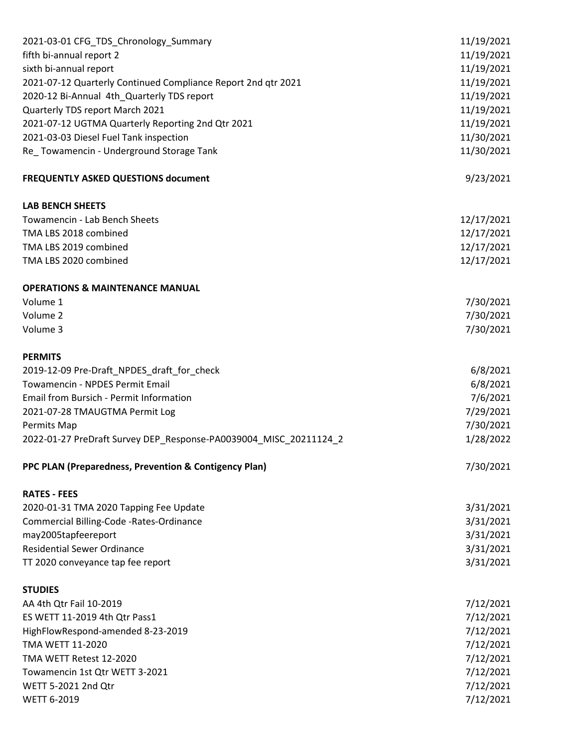| 2021-03-01 CFG_TDS_Chronology_Summary                             | 11/19/2021 |
|-------------------------------------------------------------------|------------|
| fifth bi-annual report 2                                          | 11/19/2021 |
| sixth bi-annual report                                            | 11/19/2021 |
| 2021-07-12 Quarterly Continued Compliance Report 2nd qtr 2021     | 11/19/2021 |
| 2020-12 Bi-Annual 4th_Quarterly TDS report                        | 11/19/2021 |
| Quarterly TDS report March 2021                                   | 11/19/2021 |
| 2021-07-12 UGTMA Quarterly Reporting 2nd Qtr 2021                 | 11/19/2021 |
| 2021-03-03 Diesel Fuel Tank inspection                            | 11/30/2021 |
| Re_Towamencin - Underground Storage Tank                          | 11/30/2021 |
| <b>FREQUENTLY ASKED QUESTIONS document</b>                        | 9/23/2021  |
| <b>LAB BENCH SHEETS</b>                                           |            |
| Towamencin - Lab Bench Sheets                                     | 12/17/2021 |
| TMA LBS 2018 combined                                             | 12/17/2021 |
| TMA LBS 2019 combined                                             | 12/17/2021 |
| TMA LBS 2020 combined                                             | 12/17/2021 |
| <b>OPERATIONS &amp; MAINTENANCE MANUAL</b>                        |            |
| Volume 1                                                          | 7/30/2021  |
| Volume 2                                                          | 7/30/2021  |
| Volume 3                                                          | 7/30/2021  |
| <b>PERMITS</b>                                                    |            |
| 2019-12-09 Pre-Draft_NPDES_draft_for_check                        | 6/8/2021   |
| Towamencin - NPDES Permit Email                                   | 6/8/2021   |
| <b>Email from Bursich - Permit Information</b>                    | 7/6/2021   |
| 2021-07-28 TMAUGTMA Permit Log                                    | 7/29/2021  |
| Permits Map                                                       | 7/30/2021  |
| 2022-01-27 PreDraft Survey DEP_Response-PA0039004_MISC_20211124_2 | 1/28/2022  |
| PPC PLAN (Preparedness, Prevention & Contigency Plan)             | 7/30/2021  |
| <b>RATES - FEES</b>                                               |            |
| 2020-01-31 TMA 2020 Tapping Fee Update                            | 3/31/2021  |
| Commercial Billing-Code -Rates-Ordinance                          | 3/31/2021  |
| may2005tapfeereport                                               | 3/31/2021  |
| <b>Residential Sewer Ordinance</b>                                | 3/31/2021  |
| TT 2020 conveyance tap fee report                                 | 3/31/2021  |
| <b>STUDIES</b>                                                    |            |
| AA 4th Qtr Fail 10-2019                                           | 7/12/2021  |
| ES WETT 11-2019 4th Qtr Pass1                                     | 7/12/2021  |
| HighFlowRespond-amended 8-23-2019                                 | 7/12/2021  |
| TMA WETT 11-2020                                                  | 7/12/2021  |
| TMA WETT Retest 12-2020                                           | 7/12/2021  |
| Towamencin 1st Qtr WETT 3-2021                                    | 7/12/2021  |
| WETT 5-2021 2nd Qtr                                               | 7/12/2021  |
| <b>WETT 6-2019</b>                                                | 7/12/2021  |